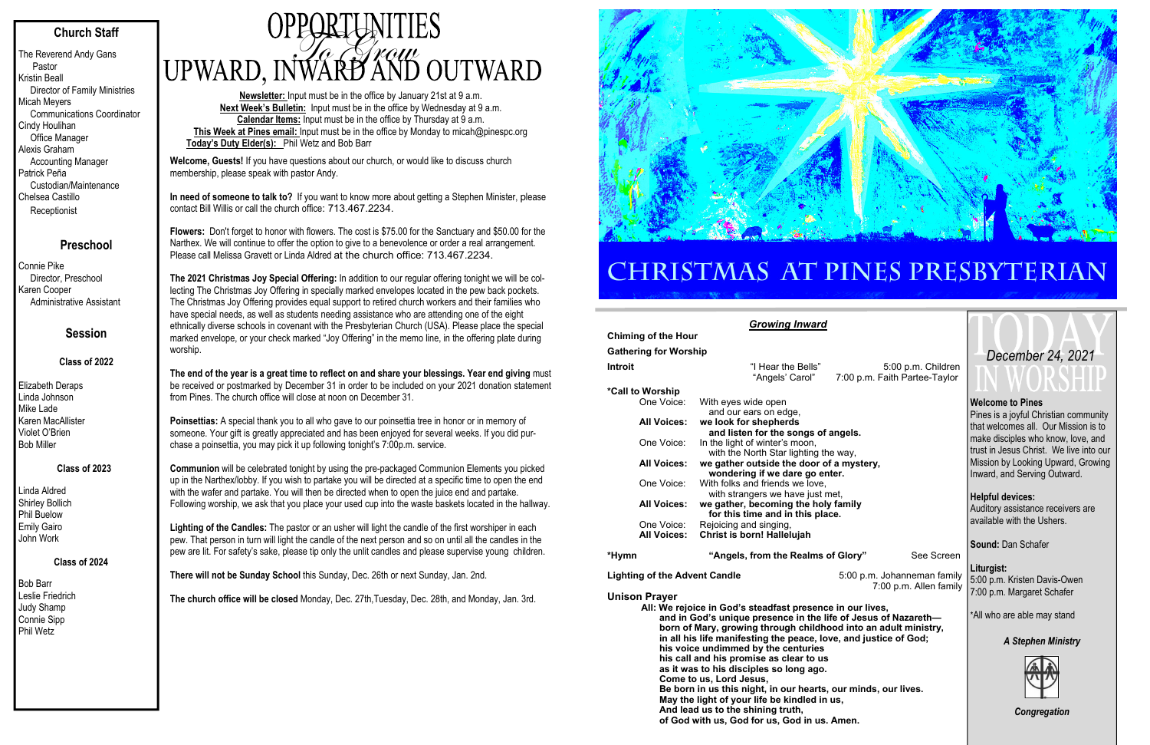# **Church Staff**

The Reverend Andy Gans Pastor Kristin Beall Director of Family Ministries Micah Meyers Communications Coordinator Cindy Houlihan Office Manager Alexis Graham Accounting Manager Patrick Peña Custodian/Maintenance Chelsea Castillo **Receptionist** 

# **Preschool**

Connie Pike Director, Preschool Karen Cooper Administrative Assistant

# **Session**

## **Class of 2022**

Elizabeth Deraps Linda Johnson Mike Lade Karen MacAllister Violet O'Brien Bob Miller

### **Class of 2023**

Linda Aldred Shirley Bollich Phil Buelow Emily Gairo John Work

### **Class of 2024**

Bob Barr Leslie Friedrich Judy Shamp Connie Sipp Phil Wetz

# OPPORTUNITIES<br>UPWARD, INWARD AND OUTWARD

**Newsletter:** Input must be in the office by January 21st at 9 a.m. **Next Week's Bulletin:** Input must be in the office by Wednesday at 9 a.m. **Calendar Items:** Input must be in the office by Thursday at 9 a.m. **This Week at Pines email:** Input must be in the office by Monday to micah@pinespc.org **Today's Duty Elder(s):** Phil Wetz and Bob Barr

**Welcome, Guests!** If you have questions about our church, or would like to discuss church membership, please speak with pastor Andy.

**In need of someone to talk to?** If you want to know more about getting a Stephen Minister, please contact Bill Willis or call the church office: 713.467.2234.

**Flowers:** Don't forget to honor with flowers. The cost is \$75.00 for the Sanctuary and \$50.00 for the Narthex. We will continue to offer the option to give to a benevolence or order a real arrangement. Please call Melissa Gravett or Linda Aldred at the church office: 713.467.2234.

**The 2021 Christmas Joy Special Offering:** In addition to our regular offering tonight we will be collecting The Christmas Joy Offering in specially marked envelopes located in the pew back pockets. The Christmas Joy Offering provides equal support to retired church workers and their families who have special needs, as well as students needing assistance who are attending one of the eight ethnically diverse schools in covenant with the Presbyterian Church (USA). Please place the special marked envelope, or your check marked "Joy Offering" in the memo line, in the offering plate during worship.

**The end of the year is a great time to reflect on and share your blessings. Year end giving** must be received or postmarked by December 31 in order to be included on your 2021 donation statement from Pines. The church office will close at noon on December 31.

> Pines is a joyful Christian community that welcomes all. Our Mission is to make disciples who know, love, and trust in Jesus Christ. We live into our Mission by Looking Upward, Growing Inward, and Serving Outward.

**Poinsettias:** A special thank you to all who gave to our poinsettia tree in honor or in memory of someone. Your gift is greatly appreciated and has been enjoyed for several weeks. If you did purchase a poinsettia, you may pick it up following tonight's 7:00p.m. service.

**Communion** will be celebrated tonight by using the pre-packaged Communion Elements you picked up in the Narthex/lobby. If you wish to partake you will be directed at a specific time to open the end with the wafer and partake. You will then be directed when to open the juice end and partake. Following worship, we ask that you place your used cup into the waste baskets located in the hallway.

**Lighting of the Candles:** The pastor or an usher will light the candle of the first worshiper in each pew. That person in turn will light the candle of the next person and so on until all the candles in the pew are lit. For safety's sake, please tip only the unlit candles and please supervise young children.

**There will not be Sunday School** this Sunday, Dec. 26th or next Sunday, Jan. 2nd.

**The church office will be closed** Monday, Dec. 27th,Tuesday, Dec. 28th, and Monday, Jan. 3rd.



# CHRISTMAS AT PINES PRESBYTERIAN

|                                      | <b>Growing Inward</b>                                                                                                                                                                                                                                                                                                                                                                                                                                                                                                                                                                                                             |                                                       |            |  |  |  |  |  |
|--------------------------------------|-----------------------------------------------------------------------------------------------------------------------------------------------------------------------------------------------------------------------------------------------------------------------------------------------------------------------------------------------------------------------------------------------------------------------------------------------------------------------------------------------------------------------------------------------------------------------------------------------------------------------------------|-------------------------------------------------------|------------|--|--|--|--|--|
| <b>Chiming of the Hour</b>           |                                                                                                                                                                                                                                                                                                                                                                                                                                                                                                                                                                                                                                   |                                                       |            |  |  |  |  |  |
| <b>Gathering for Worship</b>         |                                                                                                                                                                                                                                                                                                                                                                                                                                                                                                                                                                                                                                   |                                                       |            |  |  |  |  |  |
| <b>Introit</b>                       | "I Hear the Bells"<br>"Angels' Carol"                                                                                                                                                                                                                                                                                                                                                                                                                                                                                                                                                                                             | 5:00 p.m. Children<br>7:00 p.m. Faith Partee-Taylor   |            |  |  |  |  |  |
| *Call to Worship                     |                                                                                                                                                                                                                                                                                                                                                                                                                                                                                                                                                                                                                                   |                                                       |            |  |  |  |  |  |
| One Voice:                           | With eyes wide open<br>and our ears on edge,                                                                                                                                                                                                                                                                                                                                                                                                                                                                                                                                                                                      |                                                       |            |  |  |  |  |  |
| <b>All Voices:</b>                   | we look for shepherds<br>and listen for the songs of angels.                                                                                                                                                                                                                                                                                                                                                                                                                                                                                                                                                                      |                                                       |            |  |  |  |  |  |
| One Voice:                           | In the light of winter's moon,<br>with the North Star lighting the way,                                                                                                                                                                                                                                                                                                                                                                                                                                                                                                                                                           |                                                       |            |  |  |  |  |  |
| <b>All Voices:</b>                   | we gather outside the door of a mystery,<br>wondering if we dare go enter.                                                                                                                                                                                                                                                                                                                                                                                                                                                                                                                                                        |                                                       |            |  |  |  |  |  |
| One Voice:                           | With folks and friends we love,<br>with strangers we have just met,                                                                                                                                                                                                                                                                                                                                                                                                                                                                                                                                                               |                                                       |            |  |  |  |  |  |
| <b>All Voices:</b>                   | we gather, becoming the holy family<br>for this time and in this place.                                                                                                                                                                                                                                                                                                                                                                                                                                                                                                                                                           |                                                       |            |  |  |  |  |  |
| One Voice:                           | Rejoicing and singing,                                                                                                                                                                                                                                                                                                                                                                                                                                                                                                                                                                                                            |                                                       |            |  |  |  |  |  |
| <b>All Voices:</b>                   | Christ is born! Hallelujah                                                                                                                                                                                                                                                                                                                                                                                                                                                                                                                                                                                                        |                                                       |            |  |  |  |  |  |
| *Hymn                                | "Angels, from the Realms of Glory"                                                                                                                                                                                                                                                                                                                                                                                                                                                                                                                                                                                                |                                                       | See Screen |  |  |  |  |  |
| <b>Lighting of the Advent Candle</b> |                                                                                                                                                                                                                                                                                                                                                                                                                                                                                                                                                                                                                                   | 5:00 p.m. Johanneman family<br>7:00 p.m. Allen family |            |  |  |  |  |  |
| <b>Unison Prayer</b>                 | All: We rejoice in God's steadfast presence in our lives,<br>and in God's unique presence in the life of Jesus of Nazareth-<br>born of Mary, growing through childhood into an adult ministry,<br>in all his life manifesting the peace, love, and justice of God;<br>his voice undimmed by the centuries<br>his call and his promise as clear to us<br>as it was to his disciples so long ago.<br>Come to us, Lord Jesus,<br>Be born in us this night, in our hearts, our minds, our lives.<br>May the light of your life be kindled in us,<br>And lead us to the shining truth,<br>of God with us, God for us, God in us. Amen. |                                                       |            |  |  |  |  |  |

### **Welcome to Pines**

**Helpful devices:**  Auditory assistance receivers are available with the Ushers.

**Sound:** Dan Schafer

**Liturgist:**  5:00 p.m. Kristen Davis-Owen 7:00 p.m. Margaret Schafer

\*All who are able may stand

# *A Stephen Ministry*



*Congregation* 

# *December 24, 2021*